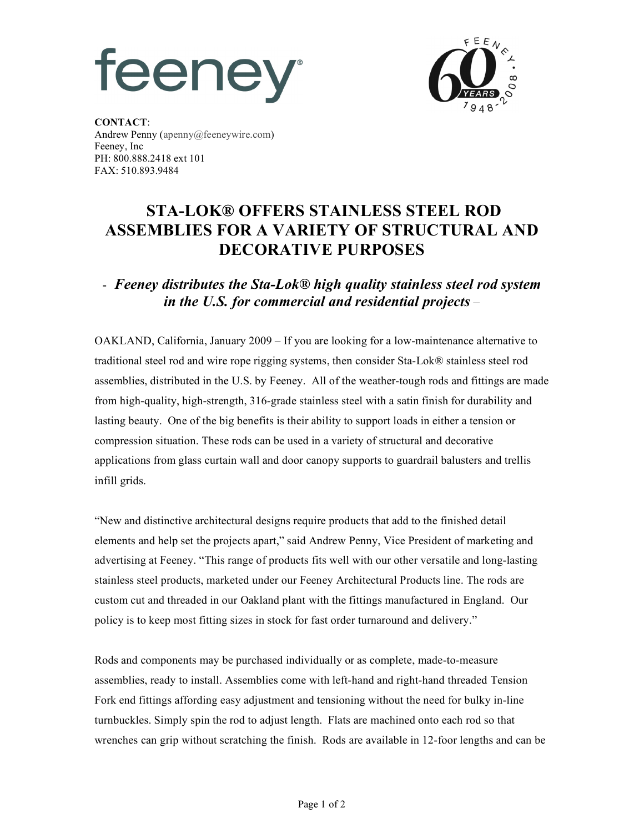## **feeney**



**CONTACT**: Andrew Penny (apenny@feeneywire.com) Feeney, Inc PH: 800.888.2418 ext 101 FAX: 510.893.9484

## **STA-LOK® OFFERS STAINLESS STEEL ROD ASSEMBLIES FOR A VARIETY OF STRUCTURAL AND DECORATIVE PURPOSES**

## - *Feeney distributes the Sta-Lok® high quality stainless steel rod system in the U.S. for commercial and residential projects –*

OAKLAND, California, January 2009 – If you are looking for a low-maintenance alternative to traditional steel rod and wire rope rigging systems, then consider Sta-Lok® stainless steel rod assemblies, distributed in the U.S. by Feeney. All of the weather-tough rods and fittings are made from high-quality, high-strength, 316-grade stainless steel with a satin finish for durability and lasting beauty. One of the big benefits is their ability to support loads in either a tension or compression situation. These rods can be used in a variety of structural and decorative applications from glass curtain wall and door canopy supports to guardrail balusters and trellis infill grids.

"New and distinctive architectural designs require products that add to the finished detail elements and help set the projects apart," said Andrew Penny, Vice President of marketing and advertising at Feeney. "This range of products fits well with our other versatile and long-lasting stainless steel products, marketed under our Feeney Architectural Products line. The rods are custom cut and threaded in our Oakland plant with the fittings manufactured in England. Our policy is to keep most fitting sizes in stock for fast order turnaround and delivery."

Rods and components may be purchased individually or as complete, made-to-measure assemblies, ready to install. Assemblies come with left-hand and right-hand threaded Tension Fork end fittings affording easy adjustment and tensioning without the need for bulky in-line turnbuckles. Simply spin the rod to adjust length. Flats are machined onto each rod so that wrenches can grip without scratching the finish. Rods are available in 12-foor lengths and can be